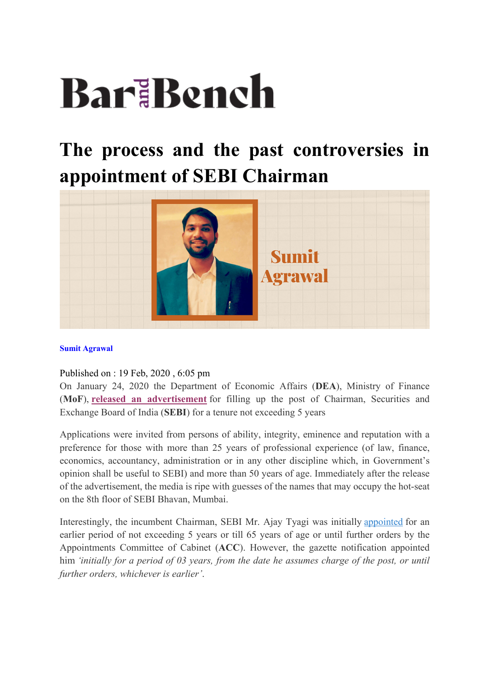# BariBench

## **The process and the past controversies in appointment of SEBI Chairman**



#### **Sumit Agrawal**

Published on : 19 Feb, 2020 , 6:05 pm

On January 24, 2020 the Department of Economic Affairs (**DEA**), Ministry of Finance (**MoF**), **released an advertisement** for filling up the post of Chairman, Securities and Exchange Board of India (**SEBI**) for a tenure not exceeding 5 years

Applications were invited from persons of ability, integrity, eminence and reputation with a preference for those with more than 25 years of professional experience (of law, finance, economics, accountancy, administration or in any other discipline which, in Government's opinion shall be useful to SEBI) and more than 50 years of age. Immediately after the release of the advertisement, the media is ripe with guesses of the names that may occupy the hot-seat on the 8th floor of SEBI Bhavan, Mumbai.

Interestingly, the incumbent Chairman, SEBI Mr. Ajay Tyagi was initially appointed for an earlier period of not exceeding 5 years or till 65 years of age or until further orders by the Appointments Committee of Cabinet (**ACC**). However, the gazette notification appointed him *'initially for a period of 03 years, from the date he assumes charge of the post, or until further orders, whichever is earlier'*.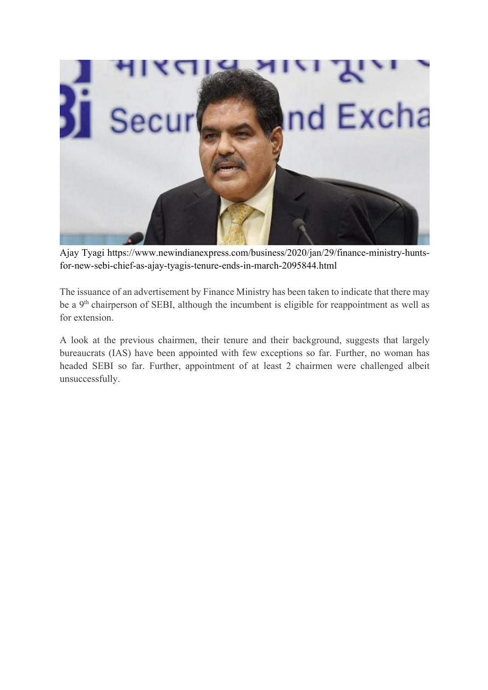

Ajay Tyagi https://www.newindianexpress.com/business/2020/jan/29/finance-ministry-huntsfor-new-sebi-chief-as-ajay-tyagis-tenure-ends-in-march-2095844.html

The issuance of an advertisement by Finance Ministry has been taken to indicate that there may be a 9<sup>th</sup> chairperson of SEBI, although the incumbent is eligible for reappointment as well as for extension.

A look at the previous chairmen, their tenure and their background, suggests that largely bureaucrats (IAS) have been appointed with few exceptions so far. Further, no woman has headed SEBI so far. Further, appointment of at least 2 chairmen were challenged albeit unsuccessfully.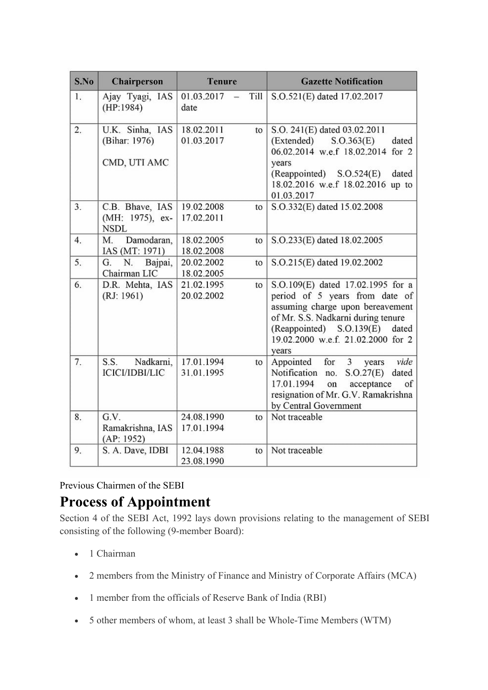| S.No | <b>Chairperson</b>                                | <b>Tenure</b>            |                       | <b>Gazette Notification</b>                                                                                                                                                                                                       |
|------|---------------------------------------------------|--------------------------|-----------------------|-----------------------------------------------------------------------------------------------------------------------------------------------------------------------------------------------------------------------------------|
| 1.   | Ajay Tyagi, IAS<br>(HP:1984)                      | 01.03.2017<br>date       | Till<br>$\frac{1}{2}$ | S.O.521(E) dated 17.02.2017                                                                                                                                                                                                       |
| 2.   | U.K. Sinha, IAS<br>(Bihar: 1976)<br>CMD, UTI AMC  | 18.02.2011<br>01.03.2017 | to                    | S.O. 241(E) dated 03.02.2011<br>(Extended)<br>S. O.363(E)<br>dated<br>06.02.2014 w.e.f 18.02.2014 for 2<br>years<br>(Reappointed)<br>S. O.524(E)<br>dated<br>18.02.2016 w.e.f 18.02.2016 up to<br>01.03.2017                      |
| 3.   | C.B. Bhave, IAS<br>(MH: 1975), ex-<br><b>NSDL</b> | 19.02.2008<br>17.02.2011 | to                    | S.O.332(E) dated 15.02.2008                                                                                                                                                                                                       |
| 4.   | M.<br>Damodaran,<br>IAS (MT: 1971)                | 18.02.2005<br>18.02.2008 | to                    | S.O.233(E) dated 18.02.2005                                                                                                                                                                                                       |
| 5.   | G.<br>N.<br>Bajpai,<br>Chairman LIC               | 20.02.2002<br>18.02.2005 | to                    | S.O.215(E) dated 19.02.2002                                                                                                                                                                                                       |
| 6.   | D.R. Mehta, IAS<br>(RJ: 1961)                     | 21.02.1995<br>20.02.2002 | to                    | S.O.109(E) dated 17.02.1995 for a<br>period of 5 years from date of<br>assuming charge upon bereavement<br>of Mr. S.S. Nadkarni during tenure<br>(Reappointed) S.O.139(E)<br>dated<br>19.02.2000 w.e.f. 21.02.2000 for 2<br>years |
| 7.   | S.S.<br>Nadkarni,<br><b>ICICI/IDBI/LIC</b>        | 17.01.1994<br>31.01.1995 | to                    | for<br>Appointed<br>3 <sup>1</sup><br>vide<br>years<br>Notification<br>no.<br>S.O.27(E)<br>dated<br>17.01.1994<br>on<br>acceptance<br>of<br>resignation of Mr. G.V. Ramakrishna<br>by Central Government                          |
| 8.   | G.V.<br>Ramakrishna, IAS<br>(AP: 1952)            | 24.08.1990<br>17.01.1994 | to                    | Not traceable                                                                                                                                                                                                                     |
| 9.   | S. A. Dave, IDBI                                  | 12.04.1988<br>23.08.1990 | to                    | Not traceable                                                                                                                                                                                                                     |

## Previous Chairmen of the SEBI

## **Process of Appointment**

Section 4 of the SEBI Act, 1992 lays down provisions relating to the management of SEBI consisting of the following (9-member Board):

- 1 Chairman
- 2 members from the Ministry of Finance and Ministry of Corporate Affairs (MCA)
- 1 member from the officials of Reserve Bank of India (RBI)
- 5 other members of whom, at least 3 shall be Whole-Time Members (WTM)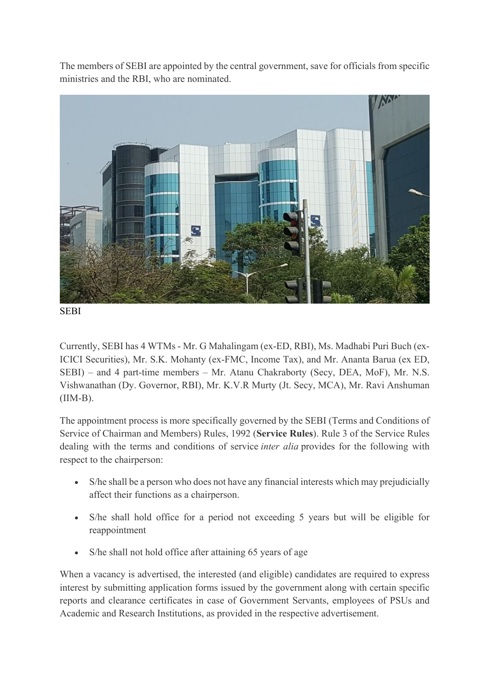The members of SEBI are appointed by the central government, save for officials from specific ministries and the RBI, who are nominated.



SEBI

Currently, SEBI has 4 WTMs - Mr. G Mahalingam (ex-ED, RBI), Ms. Madhabi Puri Buch (ex-ICICI Securities), Mr. S.K. Mohanty (ex-FMC, Income Tax), and Mr. Ananta Barua (ex ED, SEBI) – and 4 part-time members – Mr. Atanu Chakraborty (Secy, DEA, MoF), Mr. N.S. Vishwanathan (Dy. Governor, RBI), Mr. K.V.R Murty (Jt. Secy, MCA), Mr. Ravi Anshuman (IIM-B).

The appointment process is more specifically governed by the SEBI (Terms and Conditions of Service of Chairman and Members) Rules, 1992 (**Service Rules**). Rule 3 of the Service Rules dealing with the terms and conditions of service *inter alia* provides for the following with respect to the chairperson:

- S/he shall be a person who does not have any financial interests which may prejudicially affect their functions as a chairperson.
- S/he shall hold office for a period not exceeding 5 years but will be eligible for reappointment
- S/he shall not hold office after attaining 65 years of age

When a vacancy is advertised, the interested (and eligible) candidates are required to express interest by submitting application forms issued by the government along with certain specific reports and clearance certificates in case of Government Servants, employees of PSUs and Academic and Research Institutions, as provided in the respective advertisement.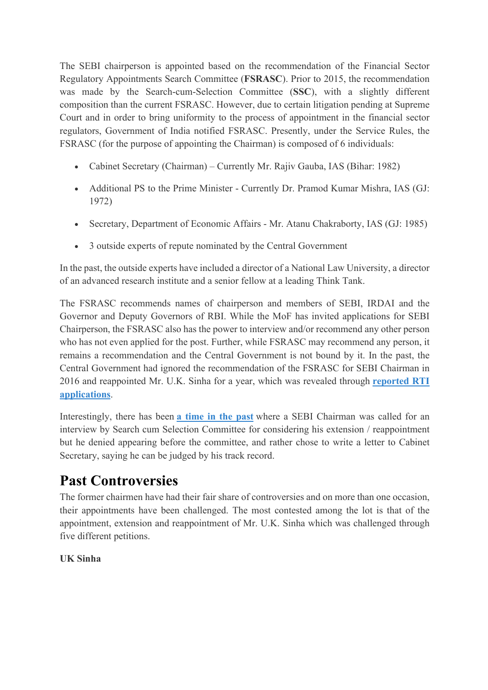The SEBI chairperson is appointed based on the recommendation of the Financial Sector Regulatory Appointments Search Committee (**FSRASC**). Prior to 2015, the recommendation was made by the Search-cum-Selection Committee (**SSC**), with a slightly different composition than the current FSRASC. However, due to certain litigation pending at Supreme Court and in order to bring uniformity to the process of appointment in the financial sector regulators, Government of India notified FSRASC. Presently, under the Service Rules, the FSRASC (for the purpose of appointing the Chairman) is composed of 6 individuals:

- Cabinet Secretary (Chairman) Currently Mr. Rajiv Gauba, IAS (Bihar: 1982)
- Additional PS to the Prime Minister Currently Dr. Pramod Kumar Mishra, IAS (GJ: 1972)
- Secretary, Department of Economic Affairs Mr. Atanu Chakraborty, IAS (GJ: 1985)
- 3 outside experts of repute nominated by the Central Government

In the past, the outside experts have included a director of a National Law University, a director of an advanced research institute and a senior fellow at a leading Think Tank.

The FSRASC recommends names of chairperson and members of SEBI, IRDAI and the Governor and Deputy Governors of RBI. While the MoF has invited applications for SEBI Chairperson, the FSRASC also has the power to interview and/or recommend any other person who has not even applied for the post. Further, while FSRASC may recommend any person, it remains a recommendation and the Central Government is not bound by it. In the past, the Central Government had ignored the recommendation of the FSRASC for SEBI Chairman in 2016 and reappointed Mr. U.K. Sinha for a year, which was revealed through **reported RTI applications**.

Interestingly, there has been **a time in the past** where a SEBI Chairman was called for an interview by Search cum Selection Committee for considering his extension / reappointment but he denied appearing before the committee, and rather chose to write a letter to Cabinet Secretary, saying he can be judged by his track record.

## **Past Controversies**

The former chairmen have had their fair share of controversies and on more than one occasion, their appointments have been challenged. The most contested among the lot is that of the appointment, extension and reappointment of Mr. U.K. Sinha which was challenged through five different petitions.

## **UK Sinha**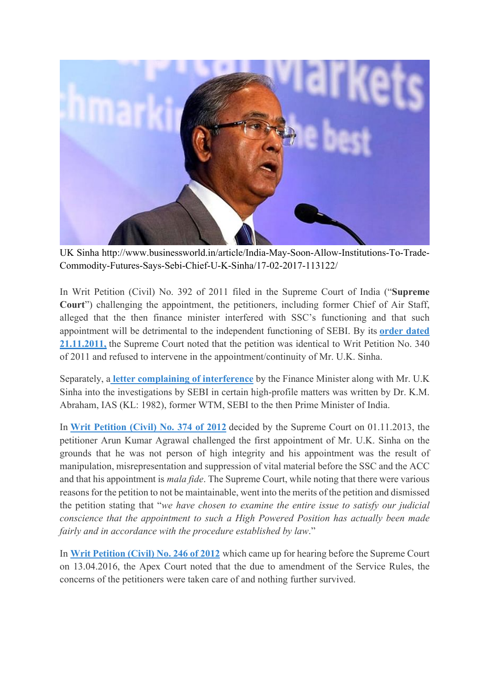

UK Sinha http://www.businessworld.in/article/India-May-Soon-Allow-Institutions-To-Trade-Commodity-Futures-Says-Sebi-Chief-U-K-Sinha/17-02-2017-113122/

In Writ Petition (Civil) No. 392 of 2011 filed in the Supreme Court of India ("**Supreme Court**") challenging the appointment, the petitioners, including former Chief of Air Staff, alleged that the then finance minister interfered with SSC's functioning and that such appointment will be detrimental to the independent functioning of SEBI. By its **order dated 21.11.2011,** the Supreme Court noted that the petition was identical to Writ Petition No. 340 of 2011 and refused to intervene in the appointment/continuity of Mr. U.K. Sinha.

Separately, a **letter complaining of interference** by the Finance Minister along with Mr. U.K Sinha into the investigations by SEBI in certain high-profile matters was written by Dr. K.M. Abraham, IAS (KL: 1982), former WTM, SEBI to the then Prime Minister of India.

In **Writ Petition (Civil) No. 374 of 2012** decided by the Supreme Court on 01.11.2013, the petitioner Arun Kumar Agrawal challenged the first appointment of Mr. U.K. Sinha on the grounds that he was not person of high integrity and his appointment was the result of manipulation, misrepresentation and suppression of vital material before the SSC and the ACC and that his appointment is *mala fide*. The Supreme Court, while noting that there were various reasons for the petition to not be maintainable, went into the merits of the petition and dismissed the petition stating that "*we have chosen to examine the entire issue to satisfy our judicial conscience that the appointment to such a High Powered Position has actually been made fairly and in accordance with the procedure established by law*."

In **Writ Petition (Civil) No. 246 of 2012** which came up for hearing before the Supreme Court on 13.04.2016, the Apex Court noted that the due to amendment of the Service Rules, the concerns of the petitioners were taken care of and nothing further survived.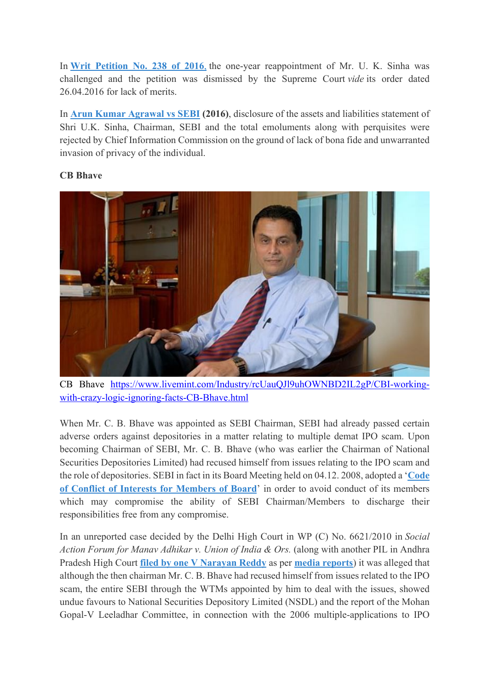In **Writ Petition No. 238 of 2016**, the one-year reappointment of Mr. U. K. Sinha was challenged and the petition was dismissed by the Supreme Court *vide* its order dated 26.04.2016 for lack of merits.

In **Arun Kumar Agrawal vs SEBI (2016)**, disclosure of the assets and liabilities statement of Shri U.K. Sinha, Chairman, SEBI and the total emoluments along with perquisites were rejected by Chief Information Commission on the ground of lack of bona fide and unwarranted invasion of privacy of the individual.

## **CB Bhave**



CB Bhave https://www.livemint.com/Industry/rcUauQJl9uhOWNBD2IL2gP/CBI-workingwith-crazy-logic-ignoring-facts-CB-Bhave.html

When Mr. C. B. Bhave was appointed as SEBI Chairman, SEBI had already passed certain adverse orders against depositories in a matter relating to multiple demat IPO scam. Upon becoming Chairman of SEBI, Mr. C. B. Bhave (who was earlier the Chairman of National Securities Depositories Limited) had recused himself from issues relating to the IPO scam and the role of depositories. SEBI in fact in its Board Meeting held on 04.12. 2008, adopted a '**Code of Conflict of Interests for Members of Board**' in order to avoid conduct of its members which may compromise the ability of SEBI Chairman/Members to discharge their responsibilities free from any compromise.

In an unreported case decided by the Delhi High Court in WP (C) No. 6621/2010 in *Social Action Forum for Manav Adhikar v. Union of India & Ors.* (along with another PIL in Andhra Pradesh High Court **filed by one V Narayan Reddy** as per **media reports**) it was alleged that although the then chairman Mr. C. B. Bhave had recused himself from issues related to the IPO scam, the entire SEBI through the WTMs appointed by him to deal with the issues, showed undue favours to National Securities Depository Limited (NSDL) and the report of the Mohan Gopal-V Leeladhar Committee, in connection with the 2006 multiple-applications to IPO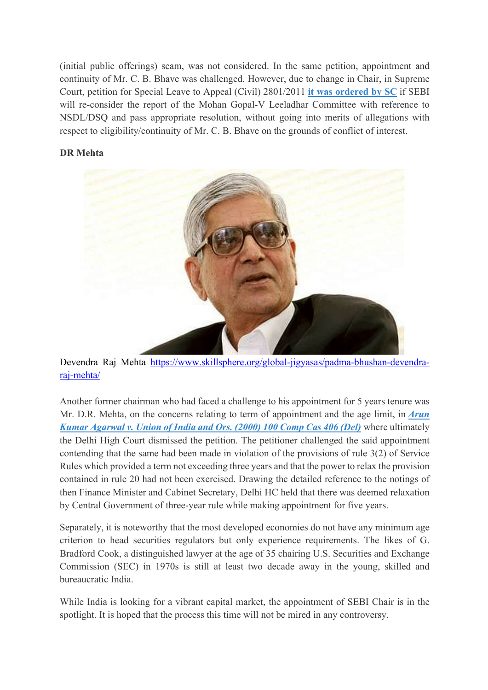(initial public offerings) scam, was not considered. In the same petition, appointment and continuity of Mr. C. B. Bhave was challenged. However, due to change in Chair, in Supreme Court, petition for Special Leave to Appeal (Civil) 2801/2011 **it was ordered by SC** if SEBI will re-consider the report of the Mohan Gopal-V Leeladhar Committee with reference to NSDL/DSQ and pass appropriate resolution, without going into merits of allegations with respect to eligibility/continuity of Mr. C. B. Bhave on the grounds of conflict of interest.

#### **DR Mehta**



Devendra Raj Mehta https://www.skillsphere.org/global-jigyasas/padma-bhushan-devendraraj-mehta/

Another former chairman who had faced a challenge to his appointment for 5 years tenure was Mr. D.R. Mehta, on the concerns relating to term of appointment and the age limit, in *Arun Kumar Agarwal v. Union of India and Ors. (2000) 100 Comp Cas 406 (Del)* where ultimately the Delhi High Court dismissed the petition. The petitioner challenged the said appointment contending that the same had been made in violation of the provisions of rule 3(2) of Service Rules which provided a term not exceeding three years and that the power to relax the provision contained in rule 20 had not been exercised. Drawing the detailed reference to the notings of then Finance Minister and Cabinet Secretary, Delhi HC held that there was deemed relaxation by Central Government of three-year rule while making appointment for five years.

Separately, it is noteworthy that the most developed economies do not have any minimum age criterion to head securities regulators but only experience requirements. The likes of G. Bradford Cook, a distinguished lawyer at the age of 35 chairing U.S. Securities and Exchange Commission (SEC) in 1970s is still at least two decade away in the young, skilled and bureaucratic India.

While India is looking for a vibrant capital market, the appointment of SEBI Chair is in the spotlight. It is hoped that the process this time will not be mired in any controversy.